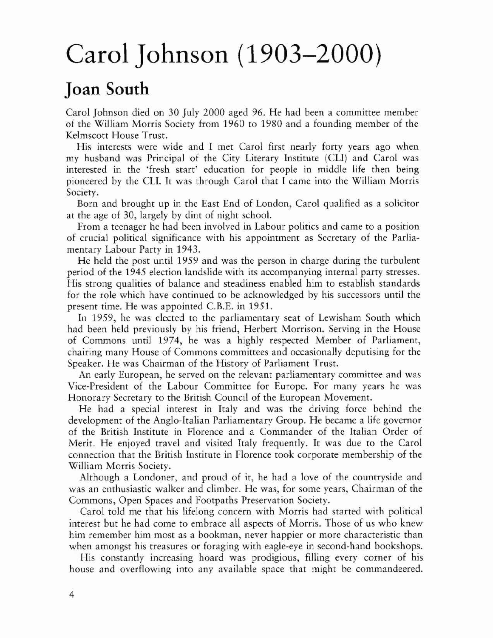## Carol Johnson (1903-2000)

## Joan South

Carol Johnson died on 30 July 2000 aged 96. He had been a committee member of the William Morris Society from 1960 to 1980 and a founding member of the Kelmscott House Trust.

His interests were wide and I met Carol first nearly forty years ago when my husband was Principal of the City Literary Institute (CLI) and Carol was interested in the 'fresh start' education for people in middle life then being pioneered by the Cll. **It** was through Carol that I came into the WiHiam Morris Society.

Born and brought up in the East End of London, Carol qualified as a solicitor ar the age of 30, largely by dint of night school.

From a teenager he had been involved in Labour politics and came to a position of crucial political significance with his appointment as Secretary of the Parliamentary Labour Party in 1943.

He held the post until 1959 and was the person in charge during the turbulent period of the 1945 election landslide with its accompanying internal party stresses. His strong qualities of balance and steadiness enabled him to establish standards for the role which have continued to be acknowledged by his successors until the present time. He was appointed C.B.E. in 1951.

In 1959, he was elected to the parliamentary seat of Lewisham South which had been held previously by his friend, Herbert Morrison. Serving in the House of Commons until 1974, he was a highly respected Member of Parliament, chairing many House of Commons committees and occasionally deputising for the Speaker. He was Chairman of the History of Parliament Trust.

An early European, he served on the relevant parliamentary committee and was Vice-President of the Labour Committee for Europe. For many years he was Honorary Secretary to the British Council of the European Movement.

He had a special interest in Italy and was the driving force behind the development of the Anglo-Italian Parliamentary Group. He became a life governor of the British Institute in Florence and a Commander of the Italian Order of Merit. He enjoyed travel and visited Italy frequently. It was due to the Carol connection that the British Institute in Florence took corporate membership of the WiHiam Morris Society.

Although a Londoner, and proud of it, he had a love of the countryside and was an enthusiastic walker and climber. He was, for some years, Chairman of the Commons, Open Spaces and Footpaths Preservation Society.

Carol told me that his lifelong concern with Morris had starred with political interest but he had come to embrace all aspects of Morris. Those of us who knew him remember him most as a bookman, never happier or more characteristic than when amongst his treasures or foraging with eagle-eye in second-hand bookshops.

His constantly increasing hoard was prodigious, filling every corner of his house and overflowing into any available space that might be commandeered.